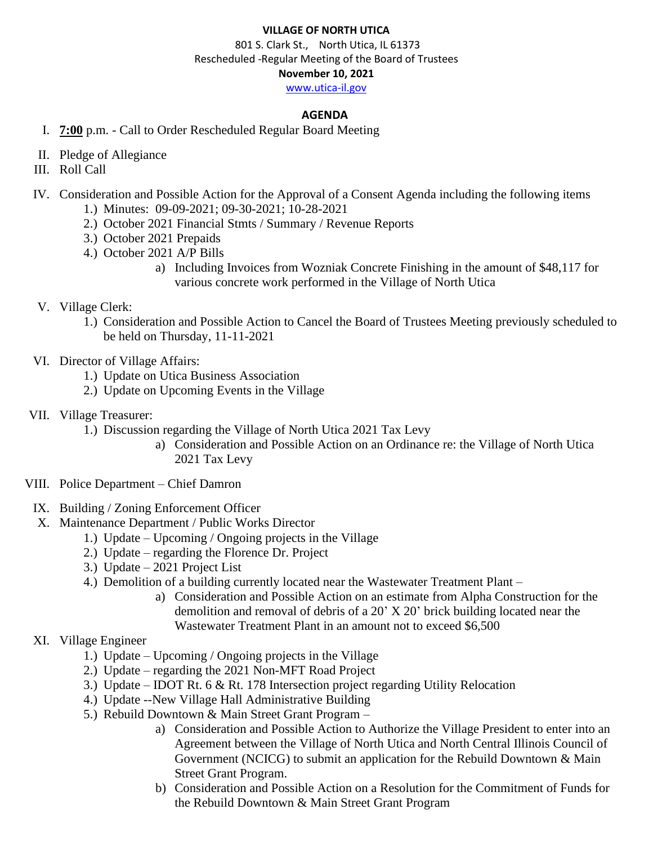### **VILLAGE OF NORTH UTICA**

 801 S. Clark St., North Utica, IL 61373 Rescheduled -Regular Meeting of the Board of Trustees **November 10, 2021** [www.utica-il.gov](http://www.utica-il.gov/)

# **AGENDA**

- I. **7:00** p.m. Call to Order Rescheduled Regular Board Meeting
- II. Pledge of Allegiance
- III. Roll Call
- IV. Consideration and Possible Action for the Approval of a Consent Agenda including the following items
	- 1.) Minutes: 09-09-2021; 09-30-2021; 10-28-2021
	- 2.) October 2021 Financial Stmts / Summary / Revenue Reports
	- 3.) October 2021 Prepaids
	- 4.) October 2021 A/P Bills
		- a) Including Invoices from Wozniak Concrete Finishing in the amount of \$48,117 for various concrete work performed in the Village of North Utica

## V. Village Clerk:

- 1.) Consideration and Possible Action to Cancel the Board of Trustees Meeting previously scheduled to be held on Thursday, 11-11-2021
- VI. Director of Village Affairs:
	- 1.) Update on Utica Business Association
	- 2.) Update on Upcoming Events in the Village
- VII. Village Treasurer:
	- 1.) Discussion regarding the Village of North Utica 2021 Tax Levy
		- a) Consideration and Possible Action on an Ordinance re: the Village of North Utica 2021 Tax Levy
- VIII. Police Department Chief Damron
- IX. Building / Zoning Enforcement Officer
- X. Maintenance Department / Public Works Director
	- 1.) Update Upcoming / Ongoing projects in the Village
	- 2.) Update regarding the Florence Dr. Project
	- 3.) Update 2021 Project List
	- 4.) Demolition of a building currently located near the Wastewater Treatment Plant
		- a) Consideration and Possible Action on an estimate from Alpha Construction for the demolition and removal of debris of a 20' X 20' brick building located near the Wastewater Treatment Plant in an amount not to exceed \$6,500

## XI. Village Engineer

- 1.) Update Upcoming / Ongoing projects in the Village
- 2.) Update regarding the 2021 Non-MFT Road Project
- 3.) Update IDOT Rt. 6 & Rt. 178 Intersection project regarding Utility Relocation
- 4.) Update --New Village Hall Administrative Building
- 5.) Rebuild Downtown & Main Street Grant Program
	- a) Consideration and Possible Action to Authorize the Village President to enter into an Agreement between the Village of North Utica and North Central Illinois Council of Government (NCICG) to submit an application for the Rebuild Downtown & Main Street Grant Program.
	- b) Consideration and Possible Action on a Resolution for the Commitment of Funds for the Rebuild Downtown & Main Street Grant Program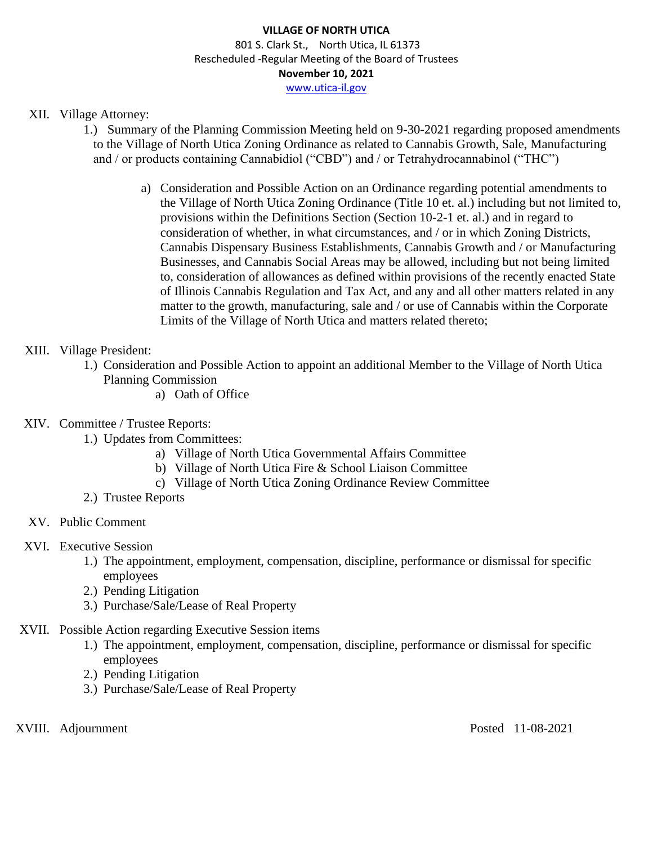## XII. Village Attorney:

- 1.) Summary of the Planning Commission Meeting held on 9-30-2021 regarding proposed amendments to the Village of North Utica Zoning Ordinance as related to Cannabis Growth, Sale, Manufacturing and / or products containing Cannabidiol ("CBD") and / or Tetrahydrocannabinol ("THC")
	- a) Consideration and Possible Action on an Ordinance regarding potential amendments to the Village of North Utica Zoning Ordinance (Title 10 et. al.) including but not limited to, provisions within the Definitions Section (Section 10-2-1 et. al.) and in regard to consideration of whether, in what circumstances, and / or in which Zoning Districts, Cannabis Dispensary Business Establishments, Cannabis Growth and / or Manufacturing Businesses, and Cannabis Social Areas may be allowed, including but not being limited to, consideration of allowances as defined within provisions of the recently enacted State of Illinois Cannabis Regulation and Tax Act, and any and all other matters related in any matter to the growth, manufacturing, sale and / or use of Cannabis within the Corporate Limits of the Village of North Utica and matters related thereto;

## XIII. Village President:

- 1.) Consideration and Possible Action to appoint an additional Member to the Village of North Utica Planning Commission
	- a) Oath of Office
- XIV. Committee / Trustee Reports:
	- 1.) Updates from Committees:
		- a) Village of North Utica Governmental Affairs Committee
		- b) Village of North Utica Fire & School Liaison Committee
		- c) Village of North Utica Zoning Ordinance Review Committee
	- 2.) Trustee Reports
- XV. Public Comment

#### XVI. Executive Session

- 1.) The appointment, employment, compensation, discipline, performance or dismissal for specific employees
- 2.) Pending Litigation
- 3.) Purchase/Sale/Lease of Real Property
- XVII. Possible Action regarding Executive Session items
	- 1.) The appointment, employment, compensation, discipline, performance or dismissal for specific employees
	- 2.) Pending Litigation
	- 3.) Purchase/Sale/Lease of Real Property

XVIII. Adjournment Posted 11-08-2021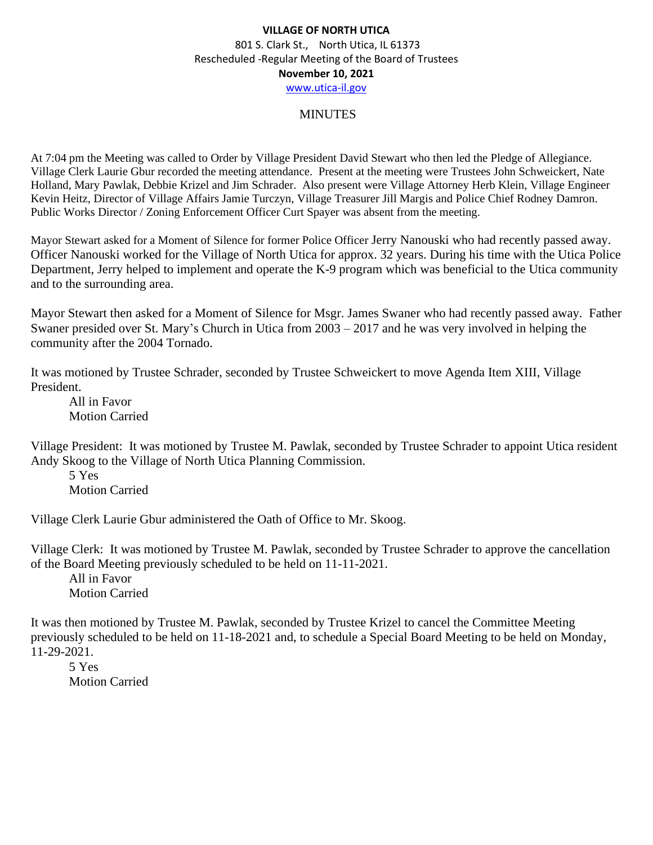#### MINUTES

At 7:04 pm the Meeting was called to Order by Village President David Stewart who then led the Pledge of Allegiance. Village Clerk Laurie Gbur recorded the meeting attendance. Present at the meeting were Trustees John Schweickert, Nate Holland, Mary Pawlak, Debbie Krizel and Jim Schrader. Also present were Village Attorney Herb Klein, Village Engineer Kevin Heitz, Director of Village Affairs Jamie Turczyn, Village Treasurer Jill Margis and Police Chief Rodney Damron. Public Works Director / Zoning Enforcement Officer Curt Spayer was absent from the meeting.

Mayor Stewart asked for a Moment of Silence for former Police Officer Jerry Nanouski who had recently passed away. Officer Nanouski worked for the Village of North Utica for approx. 32 years. During his time with the Utica Police Department, Jerry helped to implement and operate the K-9 program which was beneficial to the Utica community and to the surrounding area.

Mayor Stewart then asked for a Moment of Silence for Msgr. James Swaner who had recently passed away. Father Swaner presided over St. Mary's Church in Utica from 2003 – 2017 and he was very involved in helping the community after the 2004 Tornado.

It was motioned by Trustee Schrader, seconded by Trustee Schweickert to move Agenda Item XIII, Village President.

All in Favor Motion Carried

Village President: It was motioned by Trustee M. Pawlak, seconded by Trustee Schrader to appoint Utica resident Andy Skoog to the Village of North Utica Planning Commission.

5 Yes Motion Carried

Village Clerk Laurie Gbur administered the Oath of Office to Mr. Skoog.

Village Clerk: It was motioned by Trustee M. Pawlak, seconded by Trustee Schrader to approve the cancellation of the Board Meeting previously scheduled to be held on 11-11-2021.

All in Favor Motion Carried

It was then motioned by Trustee M. Pawlak, seconded by Trustee Krizel to cancel the Committee Meeting previously scheduled to be held on 11-18-2021 and, to schedule a Special Board Meeting to be held on Monday, 11-29-2021.

5 Yes Motion Carried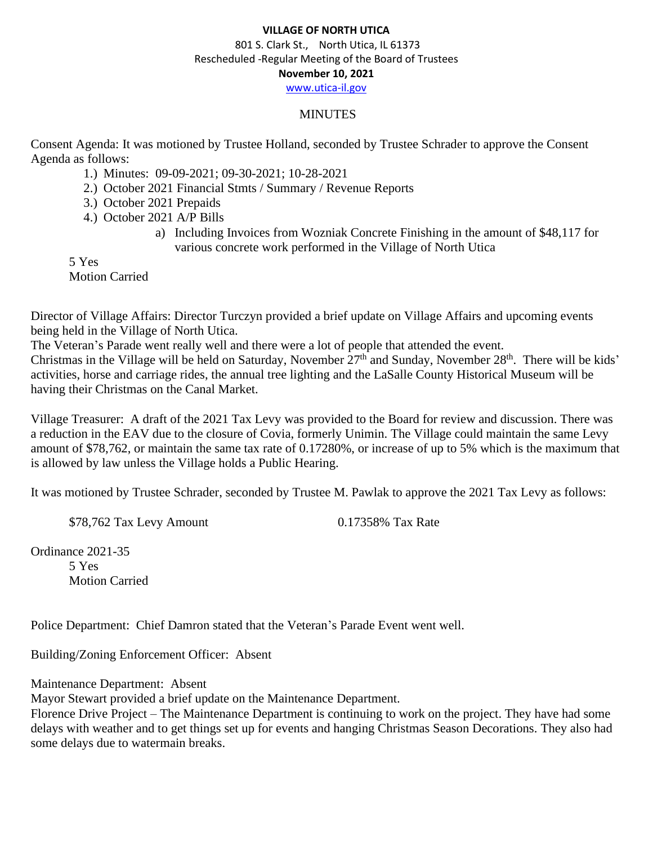#### **VILLAGE OF NORTH UTICA**

 801 S. Clark St., North Utica, IL 61373 Rescheduled -Regular Meeting of the Board of Trustees **November 10, 2021** [www.utica-il.gov](http://www.utica-il.gov/)

# MINUTES

Consent Agenda: It was motioned by Trustee Holland, seconded by Trustee Schrader to approve the Consent Agenda as follows:

- 1.) Minutes: 09-09-2021; 09-30-2021; 10-28-2021
- 2.) October 2021 Financial Stmts / Summary / Revenue Reports
- 3.) October 2021 Prepaids
- 4.) October 2021 A/P Bills
	- a) Including Invoices from Wozniak Concrete Finishing in the amount of \$48,117 for various concrete work performed in the Village of North Utica

5 Yes Motion Carried

Director of Village Affairs: Director Turczyn provided a brief update on Village Affairs and upcoming events being held in the Village of North Utica.

The Veteran's Parade went really well and there were a lot of people that attended the event. Christmas in the Village will be held on Saturday, November  $27<sup>th</sup>$  and Sunday, November  $28<sup>th</sup>$ . There will be kids' activities, horse and carriage rides, the annual tree lighting and the LaSalle County Historical Museum will be having their Christmas on the Canal Market.

Village Treasurer: A draft of the 2021 Tax Levy was provided to the Board for review and discussion. There was a reduction in the EAV due to the closure of Covia, formerly Unimin. The Village could maintain the same Levy amount of \$78,762, or maintain the same tax rate of 0.17280%, or increase of up to 5% which is the maximum that is allowed by law unless the Village holds a Public Hearing.

It was motioned by Trustee Schrader, seconded by Trustee M. Pawlak to approve the 2021 Tax Levy as follows:

\$78,762 Tax Levy Amount 0.17358% Tax Rate

Ordinance 2021-35 5 Yes Motion Carried

Police Department: Chief Damron stated that the Veteran's Parade Event went well.

Building/Zoning Enforcement Officer: Absent

Maintenance Department: Absent

Mayor Stewart provided a brief update on the Maintenance Department.

Florence Drive Project – The Maintenance Department is continuing to work on the project. They have had some delays with weather and to get things set up for events and hanging Christmas Season Decorations. They also had some delays due to watermain breaks.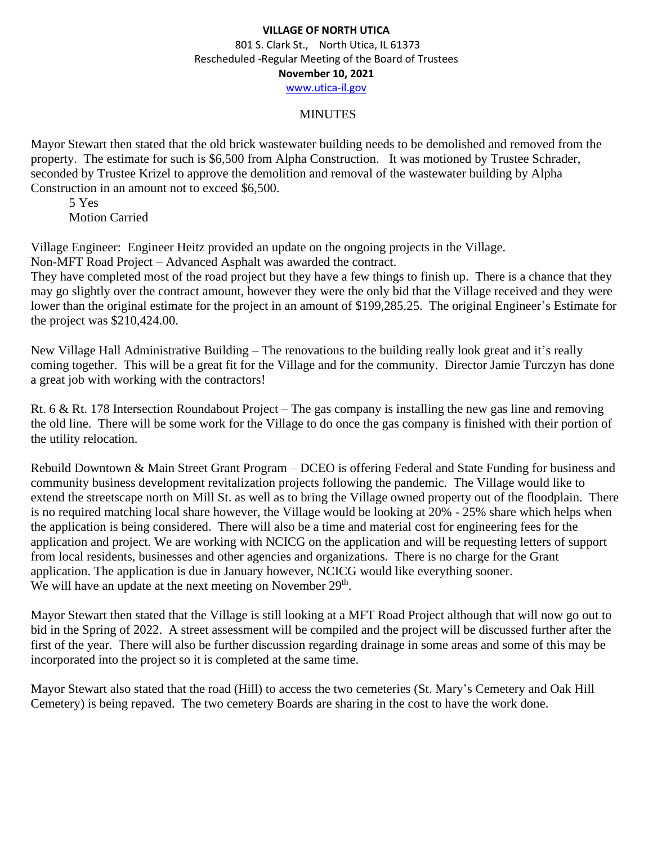#### MINUTES

Mayor Stewart then stated that the old brick wastewater building needs to be demolished and removed from the property. The estimate for such is \$6,500 from Alpha Construction. It was motioned by Trustee Schrader, seconded by Trustee Krizel to approve the demolition and removal of the wastewater building by Alpha Construction in an amount not to exceed \$6,500.

5 Yes Motion Carried

Village Engineer: Engineer Heitz provided an update on the ongoing projects in the Village. Non-MFT Road Project – Advanced Asphalt was awarded the contract.

They have completed most of the road project but they have a few things to finish up. There is a chance that they may go slightly over the contract amount, however they were the only bid that the Village received and they were lower than the original estimate for the project in an amount of \$199,285.25. The original Engineer's Estimate for the project was \$210,424.00.

New Village Hall Administrative Building – The renovations to the building really look great and it's really coming together. This will be a great fit for the Village and for the community. Director Jamie Turczyn has done a great job with working with the contractors!

Rt. 6 & Rt. 178 Intersection Roundabout Project – The gas company is installing the new gas line and removing the old line. There will be some work for the Village to do once the gas company is finished with their portion of the utility relocation.

Rebuild Downtown & Main Street Grant Program – DCEO is offering Federal and State Funding for business and community business development revitalization projects following the pandemic. The Village would like to extend the streetscape north on Mill St. as well as to bring the Village owned property out of the floodplain. There is no required matching local share however, the Village would be looking at 20% - 25% share which helps when the application is being considered. There will also be a time and material cost for engineering fees for the application and project. We are working with NCICG on the application and will be requesting letters of support from local residents, businesses and other agencies and organizations. There is no charge for the Grant application. The application is due in January however, NCICG would like everything sooner. We will have an update at the next meeting on November 29<sup>th</sup>.

Mayor Stewart then stated that the Village is still looking at a MFT Road Project although that will now go out to bid in the Spring of 2022. A street assessment will be compiled and the project will be discussed further after the first of the year. There will also be further discussion regarding drainage in some areas and some of this may be incorporated into the project so it is completed at the same time.

Mayor Stewart also stated that the road (Hill) to access the two cemeteries (St. Mary's Cemetery and Oak Hill Cemetery) is being repaved. The two cemetery Boards are sharing in the cost to have the work done.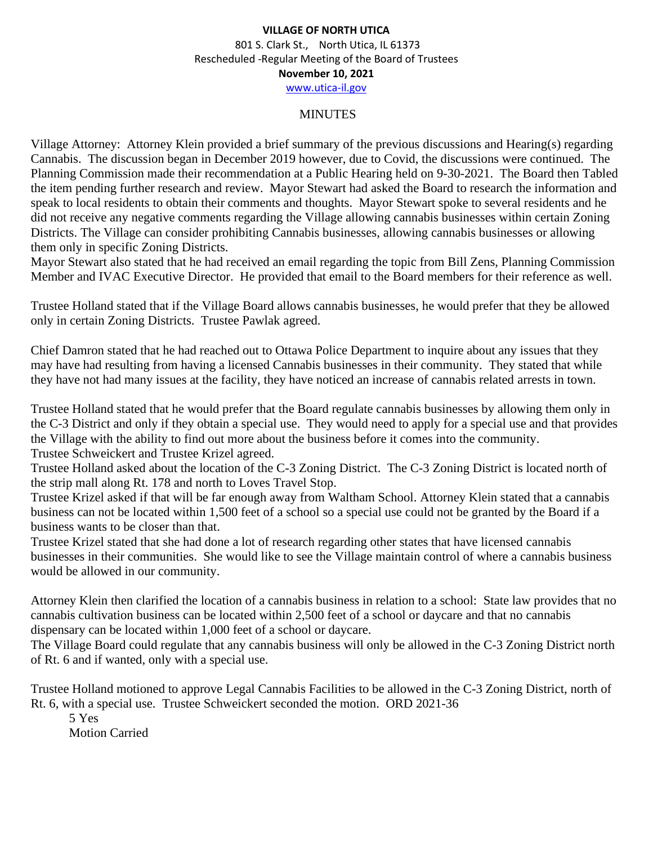#### MINUTES

Village Attorney: Attorney Klein provided a brief summary of the previous discussions and Hearing(s) regarding Cannabis. The discussion began in December 2019 however, due to Covid, the discussions were continued. The Planning Commission made their recommendation at a Public Hearing held on 9-30-2021. The Board then Tabled the item pending further research and review. Mayor Stewart had asked the Board to research the information and speak to local residents to obtain their comments and thoughts. Mayor Stewart spoke to several residents and he did not receive any negative comments regarding the Village allowing cannabis businesses within certain Zoning Districts. The Village can consider prohibiting Cannabis businesses, allowing cannabis businesses or allowing them only in specific Zoning Districts.

Mayor Stewart also stated that he had received an email regarding the topic from Bill Zens, Planning Commission Member and IVAC Executive Director. He provided that email to the Board members for their reference as well.

Trustee Holland stated that if the Village Board allows cannabis businesses, he would prefer that they be allowed only in certain Zoning Districts. Trustee Pawlak agreed.

Chief Damron stated that he had reached out to Ottawa Police Department to inquire about any issues that they may have had resulting from having a licensed Cannabis businesses in their community. They stated that while they have not had many issues at the facility, they have noticed an increase of cannabis related arrests in town.

Trustee Holland stated that he would prefer that the Board regulate cannabis businesses by allowing them only in the C-3 District and only if they obtain a special use. They would need to apply for a special use and that provides the Village with the ability to find out more about the business before it comes into the community. Trustee Schweickert and Trustee Krizel agreed.

Trustee Holland asked about the location of the C-3 Zoning District. The C-3 Zoning District is located north of the strip mall along Rt. 178 and north to Loves Travel Stop.

Trustee Krizel asked if that will be far enough away from Waltham School. Attorney Klein stated that a cannabis business can not be located within 1,500 feet of a school so a special use could not be granted by the Board if a business wants to be closer than that.

Trustee Krizel stated that she had done a lot of research regarding other states that have licensed cannabis businesses in their communities. She would like to see the Village maintain control of where a cannabis business would be allowed in our community.

Attorney Klein then clarified the location of a cannabis business in relation to a school: State law provides that no cannabis cultivation business can be located within 2,500 feet of a school or daycare and that no cannabis dispensary can be located within 1,000 feet of a school or daycare.

The Village Board could regulate that any cannabis business will only be allowed in the C-3 Zoning District north of Rt. 6 and if wanted, only with a special use.

Trustee Holland motioned to approve Legal Cannabis Facilities to be allowed in the C-3 Zoning District, north of Rt. 6, with a special use. Trustee Schweickert seconded the motion. ORD 2021-36

5 Yes Motion Carried